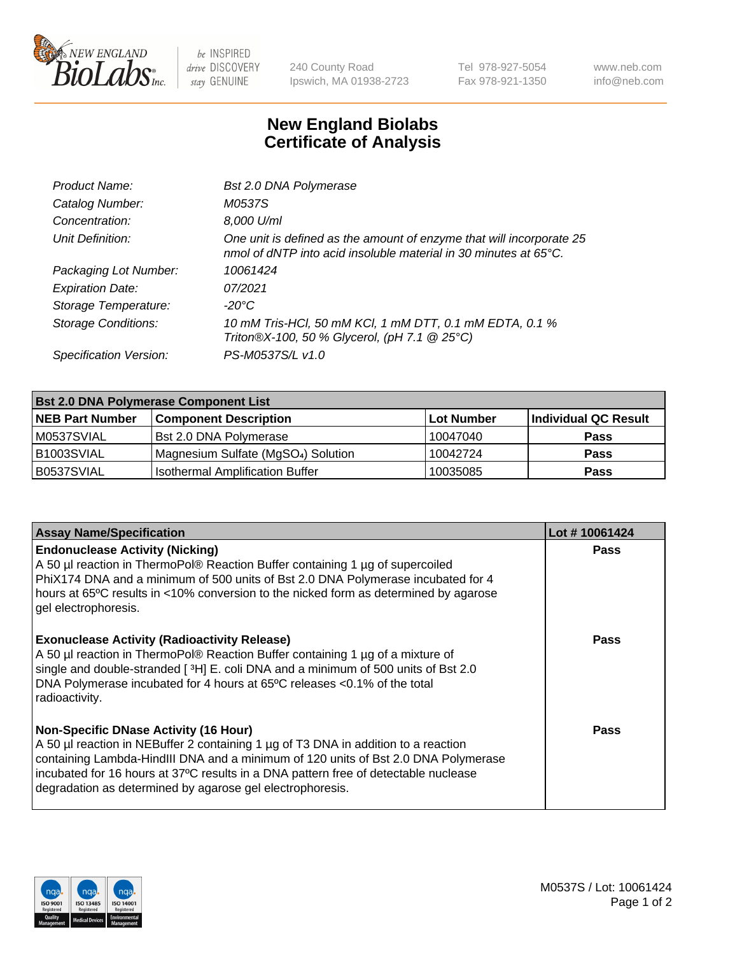

 $be$  INSPIRED drive DISCOVERY stay GENUINE

240 County Road Ipswich, MA 01938-2723 Tel 978-927-5054 Fax 978-921-1350 www.neb.com info@neb.com

## **New England Biolabs Certificate of Analysis**

| Product Name:              | Bst 2.0 DNA Polymerase                                                                                                                   |
|----------------------------|------------------------------------------------------------------------------------------------------------------------------------------|
| Catalog Number:            | M0537S                                                                                                                                   |
| Concentration:             | 8,000 U/ml                                                                                                                               |
| Unit Definition:           | One unit is defined as the amount of enzyme that will incorporate 25<br>nmol of dNTP into acid insoluble material in 30 minutes at 65°C. |
| Packaging Lot Number:      | 10061424                                                                                                                                 |
| <b>Expiration Date:</b>    | 07/2021                                                                                                                                  |
| Storage Temperature:       | -20°C                                                                                                                                    |
| <b>Storage Conditions:</b> | 10 mM Tris-HCl, 50 mM KCl, 1 mM DTT, 0.1 mM EDTA, 0.1 %<br>Triton®X-100, 50 % Glycerol, (pH 7.1 @ 25°C)                                  |
| Specification Version:     | PS-M0537S/L v1.0                                                                                                                         |

| <b>Bst 2.0 DNA Polymerase Component List</b> |                                                 |            |                      |  |  |
|----------------------------------------------|-------------------------------------------------|------------|----------------------|--|--|
| <b>NEB Part Number</b>                       | <b>Component Description</b>                    | Lot Number | Individual QC Result |  |  |
| M0537SVIAL                                   | Bst 2.0 DNA Polymerase                          | 10047040   | <b>Pass</b>          |  |  |
| B <sub>1003</sub> SVIAL                      | Magnesium Sulfate (MgSO <sub>4</sub> ) Solution | 10042724   | <b>Pass</b>          |  |  |
| B0537SVIAL                                   | <b>Isothermal Amplification Buffer</b>          | 10035085   | <b>Pass</b>          |  |  |

| <b>Assay Name/Specification</b>                                                                                                                                                                                                                                                                                                                                              | Lot #10061424 |
|------------------------------------------------------------------------------------------------------------------------------------------------------------------------------------------------------------------------------------------------------------------------------------------------------------------------------------------------------------------------------|---------------|
| <b>Endonuclease Activity (Nicking)</b><br>A 50 µl reaction in ThermoPol® Reaction Buffer containing 1 µg of supercoiled<br>PhiX174 DNA and a minimum of 500 units of Bst 2.0 DNA Polymerase incubated for 4<br>hours at 65°C results in <10% conversion to the nicked form as determined by agarose<br>gel electrophoresis.                                                  | <b>Pass</b>   |
| <b>Exonuclease Activity (Radioactivity Release)</b><br>A 50 µl reaction in ThermoPol® Reaction Buffer containing 1 µg of a mixture of<br>single and double-stranded [3H] E. coli DNA and a minimum of 500 units of Bst 2.0<br>DNA Polymerase incubated for 4 hours at 65°C releases <0.1% of the total<br>radioactivity.                                                     | Pass          |
| <b>Non-Specific DNase Activity (16 Hour)</b><br>A 50 µl reaction in NEBuffer 2 containing 1 µg of T3 DNA in addition to a reaction<br>containing Lambda-HindIII DNA and a minimum of 120 units of Bst 2.0 DNA Polymerase<br>incubated for 16 hours at 37°C results in a DNA pattern free of detectable nuclease<br>degradation as determined by agarose gel electrophoresis. | Pass          |